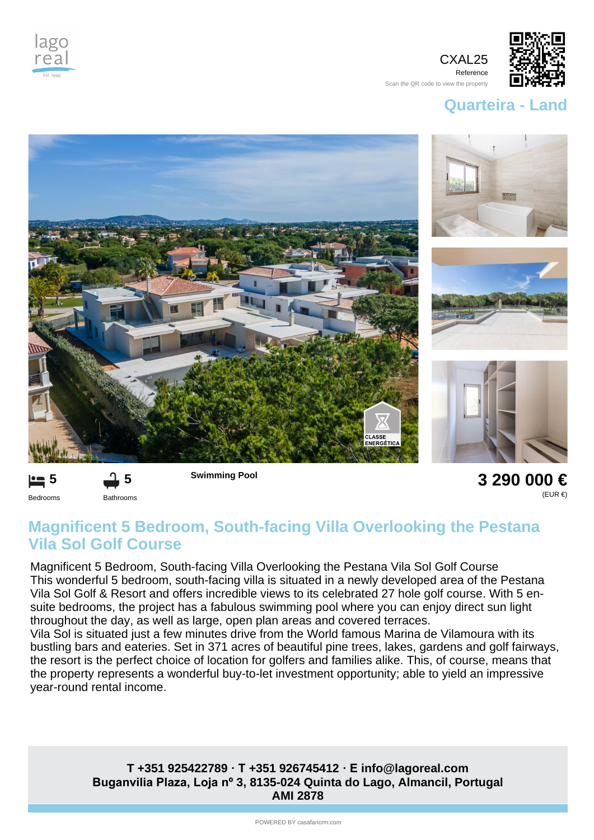

CXAL25 Reference



Scan the QR code to view the property

## **Quarteira - Land**





**3 290 000 €** (EUR €)

## **Magnificent 5 Bedroom, South-facing Villa Overlooking the Pestana Vila Sol Golf Course**

Magnificent 5 Bedroom, South-facing Villa Overlooking the Pestana Vila Sol Golf Course This wonderful 5 bedroom, south-facing villa is situated in a newly developed area of the Pestana Vila Sol Golf & Resort and offers incredible views to its celebrated 27 hole golf course. With 5 ensuite bedrooms, the project has a fabulous swimming pool where you can enjoy direct sun light throughout the day, as well as large, open plan areas and covered terraces.

Vila Sol is situated just a few minutes drive from the World famous Marina de Vilamoura with its bustling bars and eateries. Set in 371 acres of beautiful pine trees, lakes, gardens and golf fairways, the resort is the perfect choice of location for golfers and families alike. This, of course, means that the property represents a wonderful buy-to-let investment opportunity; able to yield an impressive year-round rental income.

## **Buganvilia Plaza, Loja nº 3, 8135-024 Quinta do Lago, Almancil, Portugal AMI 2878 T +351 925422789 · T +351 926745412 · E info@lagoreal.com**